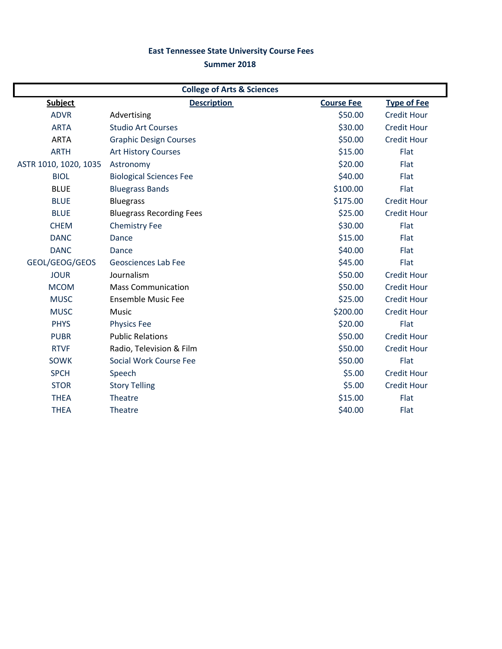## **East Tennessee State University Course Fees**

## **Summer 2018**

| <b>College of Arts &amp; Sciences</b> |                                 |                   |                    |  |
|---------------------------------------|---------------------------------|-------------------|--------------------|--|
| <b>Subject</b>                        | <b>Description</b>              | <b>Course Fee</b> | <b>Type of Fee</b> |  |
| <b>ADVR</b>                           | Advertising                     | \$50.00           | <b>Credit Hour</b> |  |
| <b>ARTA</b>                           | <b>Studio Art Courses</b>       | \$30.00           | <b>Credit Hour</b> |  |
| <b>ARTA</b>                           | <b>Graphic Design Courses</b>   | \$50.00           | <b>Credit Hour</b> |  |
| <b>ARTH</b>                           | <b>Art History Courses</b>      | \$15.00           | Flat               |  |
| ASTR 1010, 1020, 1035                 | Astronomy                       | \$20.00           | Flat               |  |
| <b>BIOL</b>                           | <b>Biological Sciences Fee</b>  | \$40.00           | Flat               |  |
| <b>BLUE</b>                           | <b>Bluegrass Bands</b>          | \$100.00          | Flat               |  |
| <b>BLUE</b>                           | <b>Bluegrass</b>                | \$175.00          | <b>Credit Hour</b> |  |
| <b>BLUE</b>                           | <b>Bluegrass Recording Fees</b> | \$25.00           | <b>Credit Hour</b> |  |
| <b>CHEM</b>                           | <b>Chemistry Fee</b>            | \$30.00           | Flat               |  |
| <b>DANC</b>                           | Dance                           | \$15.00           | Flat               |  |
| <b>DANC</b>                           | Dance                           | \$40.00           | Flat               |  |
| GEOL/GEOG/GEOS                        | <b>Geosciences Lab Fee</b>      | \$45.00           | Flat               |  |
| <b>JOUR</b>                           | Journalism                      | \$50.00           | <b>Credit Hour</b> |  |
| <b>MCOM</b>                           | <b>Mass Communication</b>       | \$50.00           | <b>Credit Hour</b> |  |
| <b>MUSC</b>                           | <b>Ensemble Music Fee</b>       | \$25.00           | <b>Credit Hour</b> |  |
| <b>MUSC</b>                           | Music                           | \$200.00          | <b>Credit Hour</b> |  |
| <b>PHYS</b>                           | <b>Physics Fee</b>              | \$20.00           | Flat               |  |
| <b>PUBR</b>                           | <b>Public Relations</b>         | \$50.00           | <b>Credit Hour</b> |  |
| <b>RTVF</b>                           | Radio, Television & Film        | \$50.00           | <b>Credit Hour</b> |  |
| <b>SOWK</b>                           | Social Work Course Fee          | \$50.00           | Flat               |  |
| <b>SPCH</b>                           | Speech                          | \$5.00            | <b>Credit Hour</b> |  |
| <b>STOR</b>                           | <b>Story Telling</b>            | \$5.00            | <b>Credit Hour</b> |  |
| <b>THEA</b>                           | <b>Theatre</b>                  | \$15.00           | Flat               |  |
| <b>THEA</b>                           | <b>Theatre</b>                  | \$40.00           | Flat               |  |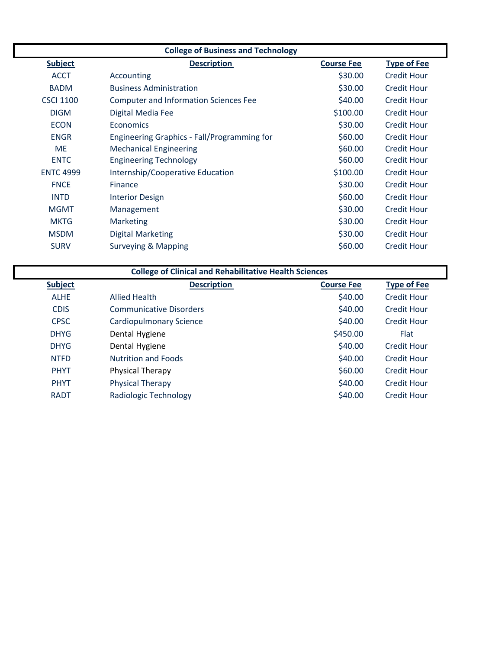| <b>College of Business and Technology</b>                                       |                                              |          |                    |  |
|---------------------------------------------------------------------------------|----------------------------------------------|----------|--------------------|--|
| <b>Subject</b><br><b>Description</b><br><b>Type of Fee</b><br><b>Course Fee</b> |                                              |          |                    |  |
| <b>ACCT</b>                                                                     | Accounting                                   | \$30.00  | <b>Credit Hour</b> |  |
| <b>BADM</b>                                                                     | <b>Business Administration</b>               | \$30.00  | Credit Hour        |  |
| <b>CSCI 1100</b>                                                                | <b>Computer and Information Sciences Fee</b> | \$40.00  | <b>Credit Hour</b> |  |
| <b>DIGM</b>                                                                     | Digital Media Fee                            | \$100.00 | <b>Credit Hour</b> |  |
| <b>ECON</b>                                                                     | Economics                                    | \$30.00  | <b>Credit Hour</b> |  |
| <b>ENGR</b>                                                                     | Engineering Graphics - Fall/Programming for  | \$60.00  | <b>Credit Hour</b> |  |
| <b>ME</b>                                                                       | <b>Mechanical Engineering</b>                | \$60.00  | <b>Credit Hour</b> |  |
| <b>ENTC</b>                                                                     | <b>Engineering Technology</b>                | \$60.00  | <b>Credit Hour</b> |  |
| <b>ENTC 4999</b>                                                                | Internship/Cooperative Education             | \$100.00 | <b>Credit Hour</b> |  |
| <b>FNCE</b>                                                                     | Finance                                      | \$30.00  | <b>Credit Hour</b> |  |
| <b>INTD</b>                                                                     | <b>Interior Design</b>                       | \$60.00  | <b>Credit Hour</b> |  |
| <b>MGMT</b>                                                                     | Management                                   | \$30.00  | <b>Credit Hour</b> |  |
| <b>MKTG</b>                                                                     | <b>Marketing</b>                             | \$30.00  | <b>Credit Hour</b> |  |
| <b>MSDM</b>                                                                     | <b>Digital Marketing</b>                     | \$30.00  | <b>Credit Hour</b> |  |
| <b>SURV</b>                                                                     | <b>Surveying &amp; Mapping</b>               | \$60.00  | <b>Credit Hour</b> |  |

| <b>College of Clinical and Rehabilitative Health Sciences</b> |                                |                   |                    |  |
|---------------------------------------------------------------|--------------------------------|-------------------|--------------------|--|
| <b>Subject</b>                                                | <b>Description</b>             | <b>Course Fee</b> | <b>Type of Fee</b> |  |
| <b>ALHE</b>                                                   | Allied Health                  | \$40.00           | <b>Credit Hour</b> |  |
| <b>CDIS</b>                                                   | <b>Communicative Disorders</b> | \$40.00           | <b>Credit Hour</b> |  |
| <b>CPSC</b>                                                   | Cardiopulmonary Science        | \$40.00           | <b>Credit Hour</b> |  |
| <b>DHYG</b>                                                   | Dental Hygiene                 | \$450.00          | <b>Flat</b>        |  |
| <b>DHYG</b>                                                   | Dental Hygiene                 | \$40.00           | <b>Credit Hour</b> |  |
| <b>NTFD</b>                                                   | <b>Nutrition and Foods</b>     | \$40.00           | <b>Credit Hour</b> |  |
| <b>PHYT</b>                                                   | Physical Therapy               | \$60.00           | <b>Credit Hour</b> |  |
| <b>PHYT</b>                                                   | <b>Physical Therapy</b>        | \$40.00           | Credit Hour        |  |
| <b>RADT</b>                                                   | Radiologic Technology          | \$40.00           | <b>Credit Hour</b> |  |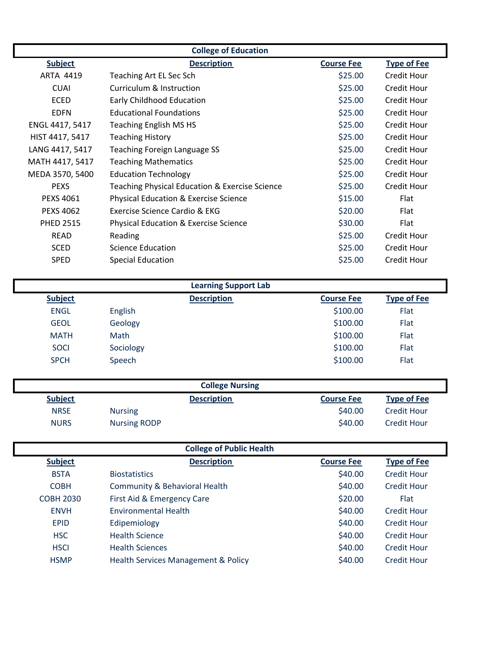| <b>College of Education</b>                                                     |                                                  |         |             |  |  |
|---------------------------------------------------------------------------------|--------------------------------------------------|---------|-------------|--|--|
| <b>Subject</b><br><b>Description</b><br><b>Course Fee</b><br><b>Type of Fee</b> |                                                  |         |             |  |  |
| ARTA 4419                                                                       | Teaching Art EL Sec Sch                          | \$25.00 | Credit Hour |  |  |
| <b>CUAI</b>                                                                     | Curriculum & Instruction                         | \$25.00 | Credit Hour |  |  |
| <b>ECED</b>                                                                     | <b>Early Childhood Education</b>                 | \$25.00 | Credit Hour |  |  |
| <b>EDFN</b>                                                                     | <b>Educational Foundations</b>                   | \$25.00 | Credit Hour |  |  |
| ENGL 4417, 5417                                                                 | <b>Teaching English MS HS</b>                    | \$25.00 | Credit Hour |  |  |
| HIST 4417, 5417                                                                 | <b>Teaching History</b>                          | \$25.00 | Credit Hour |  |  |
| LANG 4417, 5417                                                                 | Teaching Foreign Language SS                     | \$25.00 | Credit Hour |  |  |
| MATH 4417, 5417                                                                 | <b>Teaching Mathematics</b>                      | \$25.00 | Credit Hour |  |  |
| MEDA 3570, 5400                                                                 | <b>Education Technology</b>                      | \$25.00 | Credit Hour |  |  |
| <b>PEXS</b>                                                                     | Teaching Physical Education & Exercise Science   | \$25.00 | Credit Hour |  |  |
| <b>PEXS 4061</b>                                                                | \$15.00<br>Physical Education & Exercise Science |         | Flat        |  |  |
| <b>PEXS 4062</b>                                                                | Exercise Science Cardio & EKG                    | \$20.00 | Flat        |  |  |
| <b>PHED 2515</b>                                                                | <b>Physical Education &amp; Exercise Science</b> | \$30.00 | Flat        |  |  |
| <b>READ</b>                                                                     | Reading                                          | \$25.00 | Credit Hour |  |  |
| <b>SCED</b>                                                                     | Science Education                                | \$25.00 | Credit Hour |  |  |
| <b>SPED</b>                                                                     | <b>Special Education</b>                         | \$25.00 | Credit Hour |  |  |
|                                                                                 |                                                  |         |             |  |  |
| <b>Learning Support Lab</b>                                                     |                                                  |         |             |  |  |

| Learning Support Lab |           |                    |                   |                    |  |
|----------------------|-----------|--------------------|-------------------|--------------------|--|
| <b>Subject</b>       |           | <b>Description</b> | <b>Course Fee</b> | <b>Type of Fee</b> |  |
| <b>ENGL</b>          | English   |                    | \$100.00          | Flat               |  |
| <b>GEOL</b>          | Geology   |                    | \$100.00          | Flat               |  |
| <b>MATH</b>          | Math      |                    | \$100.00          | Flat               |  |
| <b>SOCI</b>          | Sociology |                    | \$100.00          | Flat               |  |
| <b>SPCH</b>          | Speech    |                    | \$100.00          | Flat               |  |
|                      |           |                    |                   |                    |  |

| <b>College Nursing</b> |                     |                    |                   |                    |  |
|------------------------|---------------------|--------------------|-------------------|--------------------|--|
| <b>Subject</b>         |                     | <b>Description</b> | <b>Course Fee</b> | <b>Type of Fee</b> |  |
| <b>NRSE</b>            | <b>Nursing</b>      |                    | \$40.00           | <b>Credit Hour</b> |  |
| <b>NURS</b>            | <b>Nursing RODP</b> |                    | \$40.00           | <b>Credit Hour</b> |  |

| <b>College of Public Health</b> |                                     |                   |                    |  |
|---------------------------------|-------------------------------------|-------------------|--------------------|--|
| <b>Subject</b>                  | <b>Description</b>                  | <b>Course Fee</b> | <b>Type of Fee</b> |  |
| <b>BSTA</b>                     | <b>Biostatistics</b>                | \$40.00           | Credit Hour        |  |
| <b>COBH</b>                     | Community & Behavioral Health       | \$40.00           | <b>Credit Hour</b> |  |
| <b>COBH 2030</b>                | First Aid & Emergency Care          | \$20.00           | <b>Flat</b>        |  |
| <b>ENVH</b>                     | Environmental Health                | \$40.00           | <b>Credit Hour</b> |  |
| <b>EPID</b>                     | Edipemiology                        | \$40.00           | Credit Hour        |  |
| <b>HSC</b>                      | <b>Health Science</b>               | \$40.00           | Credit Hour        |  |
| <b>HSCI</b>                     | <b>Health Sciences</b>              | \$40.00           | Credit Hour        |  |
| <b>HSMP</b>                     | Health Services Management & Policy | \$40.00           | <b>Credit Hour</b> |  |